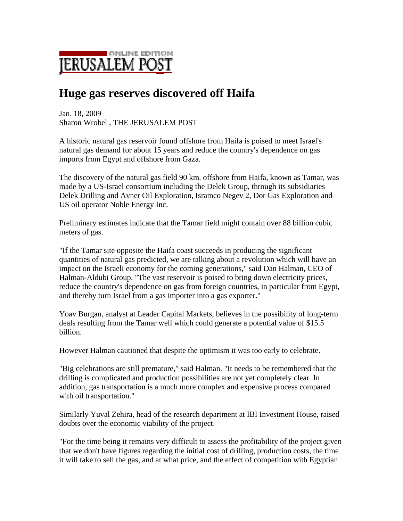

## **Huge gas reserves discovered off Haifa**

Jan. 18, 2009 Sharon Wrobel , THE JERUSALEM POST

A historic natural gas reservoir found offshore from Haifa is poised to meet Israel's natural gas demand for about 15 years and reduce the country's dependence on gas imports from Egypt and offshore from Gaza.

The discovery of the natural gas field 90 km. offshore from Haifa, known as Tamar, was made by a US-Israel consortium including the Delek Group, through its subsidiaries Delek Drilling and Avner Oil Exploration, Isramco Negev 2, Dor Gas Exploration and US oil operator Noble Energy Inc.

Preliminary estimates indicate that the Tamar field might contain over 88 billion cubic meters of gas.

"If the Tamar site opposite the Haifa coast succeeds in producing the significant quantities of natural gas predicted, we are talking about a revolution which will have an impact on the Israeli economy for the coming generations," said Dan Halman, CEO of Halman-Aldubi Group. "The vast reservoir is poised to bring down electricity prices, reduce the country's dependence on gas from foreign countries, in particular from Egypt, and thereby turn Israel from a gas importer into a gas exporter."

Yoav Burgan, analyst at Leader Capital Markets, believes in the possibility of long-term deals resulting from the Tamar well which could generate a potential value of \$15.5 billion.

However Halman cautioned that despite the optimism it was too early to celebrate.

"Big celebrations are still premature," said Halman. "It needs to be remembered that the drilling is complicated and production possibilities are not yet completely clear. In addition, gas transportation is a much more complex and expensive process compared with oil transportation."

Similarly Yuval Zehira, head of the research department at IBI Investment House, raised doubts over the economic viability of the project.

"For the time being it remains very difficult to assess the profitability of the project given that we don't have figures regarding the initial cost of drilling, production costs, the time it will take to sell the gas, and at what price, and the effect of competition with Egyptian